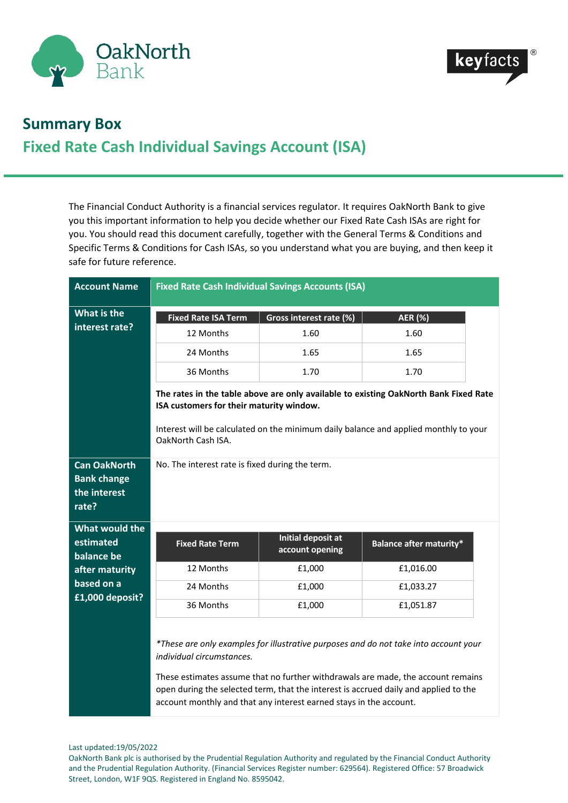



## **Summary Box Fixed Rate Cash Individual Savings Account (ISA)**

The Financial Conduct Authority is a financial services regulator. It requires OakNorth Bank to give you this important information to help you decide whether our Fixed Rate Cash ISAs are right for you. You should read this document carefully, together with the General Terms & Conditions and Specific Terms & Conditions for Cash ISAs, so you understand what you are buying, and then keep it safe for future reference.

| <b>Account Name</b>                                                | <b>Fixed Rate Cash Individual Savings Accounts (ISA)</b>                                                                                                                                                                                                                                                                                                            |                           |                                |  |
|--------------------------------------------------------------------|---------------------------------------------------------------------------------------------------------------------------------------------------------------------------------------------------------------------------------------------------------------------------------------------------------------------------------------------------------------------|---------------------------|--------------------------------|--|
| What is the<br>interest rate?                                      | <b>Fixed Rate ISA Term</b>                                                                                                                                                                                                                                                                                                                                          | Gross interest rate (%)   | <b>AER (%)</b>                 |  |
|                                                                    | 12 Months                                                                                                                                                                                                                                                                                                                                                           | 1.60                      | 1.60                           |  |
|                                                                    | 24 Months                                                                                                                                                                                                                                                                                                                                                           | 1.65                      | 1.65                           |  |
|                                                                    | 36 Months                                                                                                                                                                                                                                                                                                                                                           | 1.70                      | 1.70                           |  |
|                                                                    | The rates in the table above are only available to existing OakNorth Bank Fixed Rate<br>ISA customers for their maturity window.                                                                                                                                                                                                                                    |                           |                                |  |
|                                                                    | Interest will be calculated on the minimum daily balance and applied monthly to your<br>OakNorth Cash ISA.                                                                                                                                                                                                                                                          |                           |                                |  |
| <b>Can OakNorth</b><br><b>Bank change</b><br>the interest<br>rate? | No. The interest rate is fixed during the term.                                                                                                                                                                                                                                                                                                                     |                           |                                |  |
| <b>What would the</b><br>estimated                                 |                                                                                                                                                                                                                                                                                                                                                                     | <b>Initial deposit at</b> |                                |  |
| balance be                                                         | <b>Fixed Rate Term</b>                                                                                                                                                                                                                                                                                                                                              | account opening           | <b>Balance after maturity*</b> |  |
| after maturity<br>based on a<br>£1,000 deposit?                    | 12 Months                                                                                                                                                                                                                                                                                                                                                           | £1,000                    | £1,016.00                      |  |
|                                                                    | 24 Months                                                                                                                                                                                                                                                                                                                                                           | £1,000                    | £1,033.27                      |  |
|                                                                    | 36 Months                                                                                                                                                                                                                                                                                                                                                           | £1,000                    | £1,051.87                      |  |
|                                                                    | *These are only examples for illustrative purposes and do not take into account your<br>individual circumstances.<br>These estimates assume that no further withdrawals are made, the account remains<br>open during the selected term, that the interest is accrued daily and applied to the<br>account monthly and that any interest earned stays in the account. |                           |                                |  |

Last updated:19/05/2022

OakNorth Bank plc is authorised by the Prudential Regulation Authority and regulated by the Financial Conduct Authority and the Prudential Regulation Authority. (Financial Services Register number: 629564). Registered Office: 57 Broadwick Street, London, W1F 9QS. Registered in England No. 8595042.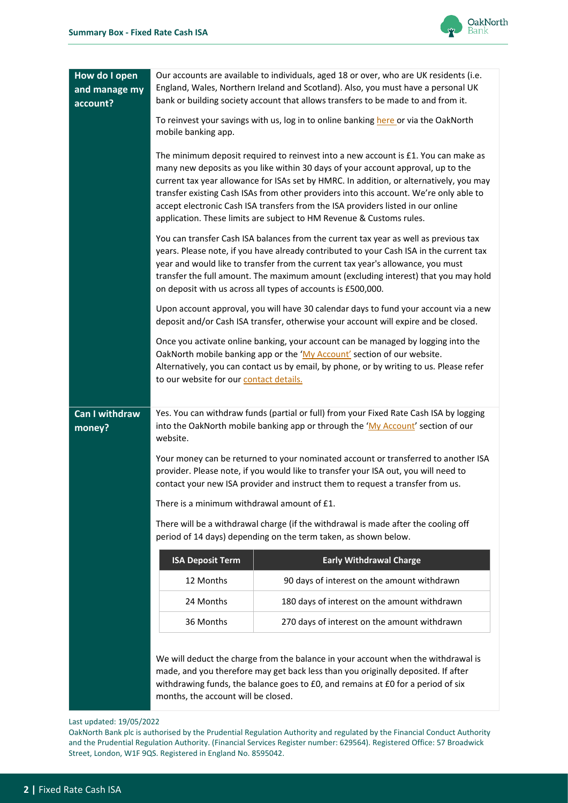

| How do I open<br>and manage my<br>account? | Our accounts are available to individuals, aged 18 or over, who are UK residents (i.e.<br>England, Wales, Northern Ireland and Scotland). Also, you must have a personal UK<br>bank or building society account that allows transfers to be made to and from it.<br>To reinvest your savings with us, log in to online banking here or via the OakNorth<br>mobile banking app.<br>The minimum deposit required to reinvest into a new account is £1. You can make as<br>many new deposits as you like within 30 days of your account approval, up to the<br>current tax year allowance for ISAs set by HMRC. In addition, or alternatively, you may<br>transfer existing Cash ISAs from other providers into this account. We're only able to<br>accept electronic Cash ISA transfers from the ISA providers listed in our online<br>application. These limits are subject to HM Revenue & Customs rules.<br>You can transfer Cash ISA balances from the current tax year as well as previous tax<br>years. Please note, if you have already contributed to your Cash ISA in the current tax<br>year and would like to transfer from the current tax year's allowance, you must<br>transfer the full amount. The maximum amount (excluding interest) that you may hold<br>on deposit with us across all types of accounts is £500,000. |                                                                                                                                                                                                                                                            |  |  |
|--------------------------------------------|----------------------------------------------------------------------------------------------------------------------------------------------------------------------------------------------------------------------------------------------------------------------------------------------------------------------------------------------------------------------------------------------------------------------------------------------------------------------------------------------------------------------------------------------------------------------------------------------------------------------------------------------------------------------------------------------------------------------------------------------------------------------------------------------------------------------------------------------------------------------------------------------------------------------------------------------------------------------------------------------------------------------------------------------------------------------------------------------------------------------------------------------------------------------------------------------------------------------------------------------------------------------------------------------------------------------------------------|------------------------------------------------------------------------------------------------------------------------------------------------------------------------------------------------------------------------------------------------------------|--|--|
|                                            |                                                                                                                                                                                                                                                                                                                                                                                                                                                                                                                                                                                                                                                                                                                                                                                                                                                                                                                                                                                                                                                                                                                                                                                                                                                                                                                                        |                                                                                                                                                                                                                                                            |  |  |
|                                            |                                                                                                                                                                                                                                                                                                                                                                                                                                                                                                                                                                                                                                                                                                                                                                                                                                                                                                                                                                                                                                                                                                                                                                                                                                                                                                                                        |                                                                                                                                                                                                                                                            |  |  |
|                                            |                                                                                                                                                                                                                                                                                                                                                                                                                                                                                                                                                                                                                                                                                                                                                                                                                                                                                                                                                                                                                                                                                                                                                                                                                                                                                                                                        |                                                                                                                                                                                                                                                            |  |  |
|                                            | Upon account approval, you will have 30 calendar days to fund your account via a new<br>deposit and/or Cash ISA transfer, otherwise your account will expire and be closed.                                                                                                                                                                                                                                                                                                                                                                                                                                                                                                                                                                                                                                                                                                                                                                                                                                                                                                                                                                                                                                                                                                                                                            |                                                                                                                                                                                                                                                            |  |  |
|                                            | Once you activate online banking, your account can be managed by logging into the<br>OakNorth mobile banking app or the 'My Account' section of our website.<br>Alternatively, you can contact us by email, by phone, or by writing to us. Please refer<br>to our website for our contact details.                                                                                                                                                                                                                                                                                                                                                                                                                                                                                                                                                                                                                                                                                                                                                                                                                                                                                                                                                                                                                                     |                                                                                                                                                                                                                                                            |  |  |
| <b>Can I withdraw</b><br>money?            | Yes. You can withdraw funds (partial or full) from your Fixed Rate Cash ISA by logging<br>into the OakNorth mobile banking app or through the 'My Account' section of our<br>website.                                                                                                                                                                                                                                                                                                                                                                                                                                                                                                                                                                                                                                                                                                                                                                                                                                                                                                                                                                                                                                                                                                                                                  |                                                                                                                                                                                                                                                            |  |  |
|                                            | Your money can be returned to your nominated account or transferred to another ISA<br>provider. Please note, if you would like to transfer your ISA out, you will need to<br>contact your new ISA provider and instruct them to request a transfer from us.<br>There is a minimum withdrawal amount of £1.                                                                                                                                                                                                                                                                                                                                                                                                                                                                                                                                                                                                                                                                                                                                                                                                                                                                                                                                                                                                                             |                                                                                                                                                                                                                                                            |  |  |
|                                            |                                                                                                                                                                                                                                                                                                                                                                                                                                                                                                                                                                                                                                                                                                                                                                                                                                                                                                                                                                                                                                                                                                                                                                                                                                                                                                                                        |                                                                                                                                                                                                                                                            |  |  |
|                                            | There will be a withdrawal charge (if the withdrawal is made after the cooling off<br>period of 14 days) depending on the term taken, as shown below.                                                                                                                                                                                                                                                                                                                                                                                                                                                                                                                                                                                                                                                                                                                                                                                                                                                                                                                                                                                                                                                                                                                                                                                  |                                                                                                                                                                                                                                                            |  |  |
|                                            | <b>ISA Deposit Term</b>                                                                                                                                                                                                                                                                                                                                                                                                                                                                                                                                                                                                                                                                                                                                                                                                                                                                                                                                                                                                                                                                                                                                                                                                                                                                                                                | <b>Early Withdrawal Charge</b>                                                                                                                                                                                                                             |  |  |
|                                            | 12 Months                                                                                                                                                                                                                                                                                                                                                                                                                                                                                                                                                                                                                                                                                                                                                                                                                                                                                                                                                                                                                                                                                                                                                                                                                                                                                                                              | 90 days of interest on the amount withdrawn                                                                                                                                                                                                                |  |  |
|                                            | 24 Months                                                                                                                                                                                                                                                                                                                                                                                                                                                                                                                                                                                                                                                                                                                                                                                                                                                                                                                                                                                                                                                                                                                                                                                                                                                                                                                              | 180 days of interest on the amount withdrawn                                                                                                                                                                                                               |  |  |
|                                            | 36 Months                                                                                                                                                                                                                                                                                                                                                                                                                                                                                                                                                                                                                                                                                                                                                                                                                                                                                                                                                                                                                                                                                                                                                                                                                                                                                                                              | 270 days of interest on the amount withdrawn                                                                                                                                                                                                               |  |  |
|                                            | months, the account will be closed.                                                                                                                                                                                                                                                                                                                                                                                                                                                                                                                                                                                                                                                                                                                                                                                                                                                                                                                                                                                                                                                                                                                                                                                                                                                                                                    | We will deduct the charge from the balance in your account when the withdrawal is<br>made, and you therefore may get back less than you originally deposited. If after<br>withdrawing funds, the balance goes to £0, and remains at £0 for a period of six |  |  |

Last updated: 19/05/2022

OakNorth Bank plc is authorised by the Prudential Regulation Authority and regulated by the Financial Conduct Authority and the Prudential Regulation Authority. (Financial Services Register number: 629564). Registered Office: 57 Broadwick Street, London, W1F 9QS. Registered in England No. 8595042.